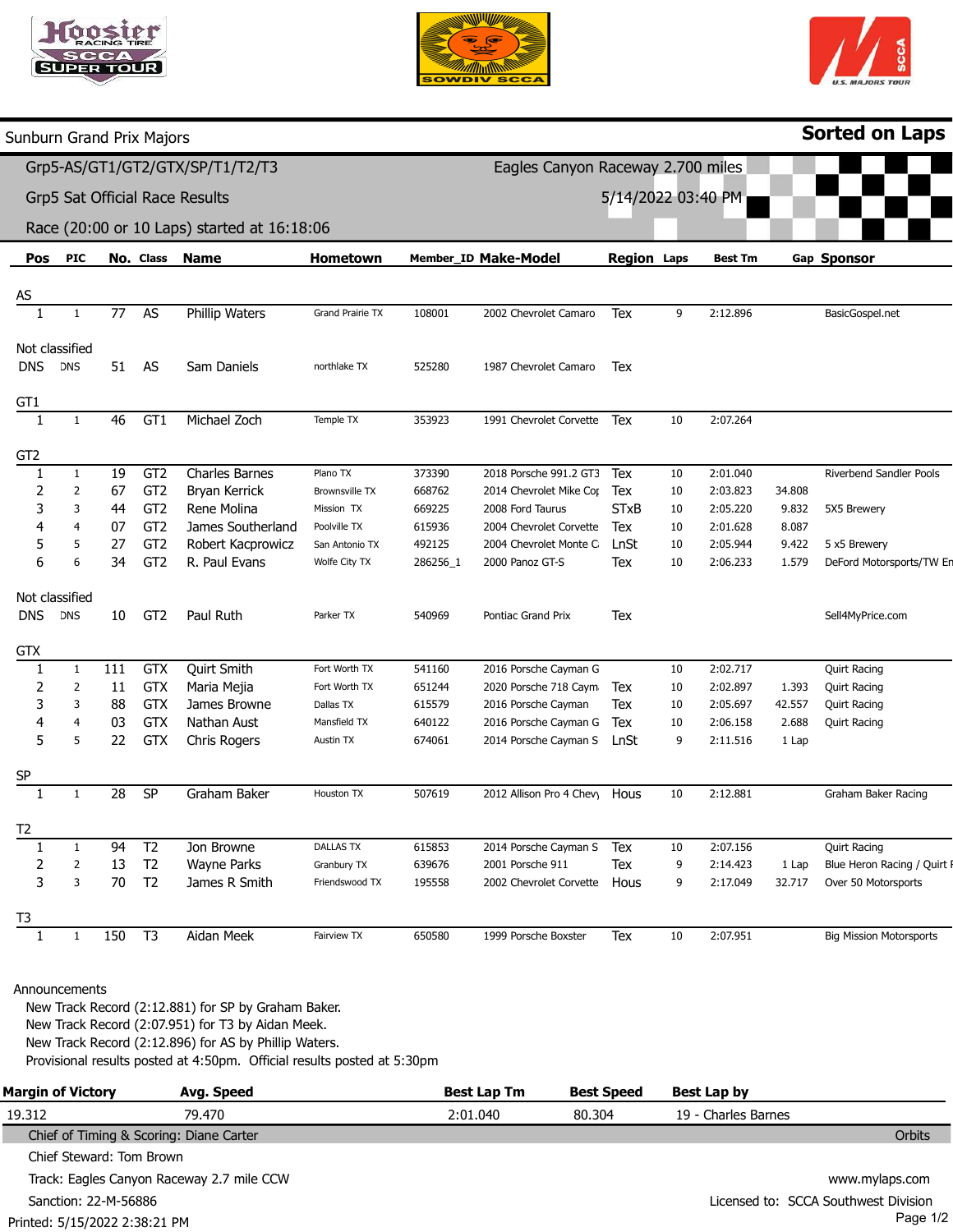





| Sunburn Grand Prix Majors      |                |           |                 |                                             |                       |                      |                                   |                    |    |                |             | <b>Sorted on Laps</b>          |
|--------------------------------|----------------|-----------|-----------------|---------------------------------------------|-----------------------|----------------------|-----------------------------------|--------------------|----|----------------|-------------|--------------------------------|
|                                |                |           |                 | Grp5-AS/GT1/GT2/GTX/SP/T1/T2/T3             |                       |                      | Eagles Canyon Raceway 2.700 miles |                    |    |                |             |                                |
| Grp5 Sat Official Race Results |                |           |                 |                                             |                       |                      | 5/14/2022 03:40 PM                |                    |    |                |             |                                |
|                                |                |           |                 | Race (20:00 or 10 Laps) started at 16:18:06 |                       |                      |                                   |                    |    |                |             |                                |
| Pos                            | <b>PIC</b>     | No. Class |                 | <b>Name</b>                                 | <b>Hometown</b>       | Member_ID Make-Model |                                   | <b>Region Laps</b> |    | <b>Best Tm</b> | Gap Sponsor |                                |
| $\underline{AS}$               |                |           |                 |                                             |                       |                      |                                   |                    |    |                |             |                                |
|                                | 1              | 77        | <b>AS</b>       | <b>Phillip Waters</b>                       | Grand Prairie TX      | 108001               | 2002 Chevrolet Camaro             | Tex                | 9  | 2:12.896       |             | BasicGospel.net                |
|                                | Not classified |           |                 |                                             |                       |                      |                                   |                    |    |                |             |                                |
| <b>DNS</b>                     | <b>DNS</b>     | 51        | <b>AS</b>       | Sam Daniels                                 | northlake TX          | 525280               | 1987 Chevrolet Camaro             | Tex                |    |                |             |                                |
| GT1                            |                |           |                 |                                             |                       |                      |                                   |                    |    |                |             |                                |
| $\mathbf{1}$                   | 1              | 46        | GT1             | Michael Zoch                                | Temple TX             | 353923               | 1991 Chevrolet Corvette           | Tex                | 10 | 2:07.264       |             |                                |
| GT <sub>2</sub>                |                |           |                 |                                             |                       |                      |                                   |                    |    |                |             |                                |
| $\mathbf{1}$                   | $\mathbf{1}$   | 19        | GT <sub>2</sub> | Charles Barnes                              | Plano TX              | 373390               | 2018 Porsche 991.2 GT3            | Tex                | 10 | 2:01.040       |             | Riverbend Sandler Pools        |
| 2                              | $\overline{2}$ | 67        | GT <sub>2</sub> | Bryan Kerrick                               | <b>Brownsville TX</b> | 668762               | 2014 Chevrolet Mike Cor           | Tex                | 10 | 2:03.823       | 34.808      |                                |
| 3                              | 3              | 44        | GT <sub>2</sub> | Rene Molina                                 | Mission TX            | 669225               | 2008 Ford Taurus                  | <b>STxB</b>        | 10 | 2:05.220       | 9.832       | 5X5 Brewery                    |
| 4                              | 4              | 07        | GT <sub>2</sub> | James Southerland                           | Poolville TX          | 615936               | 2004 Chevrolet Corvette           | Tex                | 10 | 2:01.628       | 8.087       |                                |
| 5                              | 5              | 27        | GT <sub>2</sub> | Robert Kacprowicz                           | San Antonio TX        | 492125               | 2004 Chevrolet Monte C            | LnSt               | 10 | 2:05.944       | 9.422       | 5 x5 Brewery                   |
| 6                              | 6              | 34        | GT <sub>2</sub> | R. Paul Evans                               | Wolfe City TX         | 286256_1             | 2000 Panoz GT-S                   | Tex                | 10 | 2:06.233       | 1.579       | DeFord Motorsports/TW En       |
|                                | Not classified |           |                 |                                             |                       |                      |                                   |                    |    |                |             |                                |
| <b>DNS</b>                     | <b>DNS</b>     | 10        | GT <sub>2</sub> | Paul Ruth                                   | Parker TX             | 540969               | Pontiac Grand Prix                | Tex                |    |                |             | Sell4MyPrice.com               |
| <b>GTX</b>                     |                |           |                 |                                             |                       |                      |                                   |                    |    |                |             |                                |
| 1                              | $\mathbf{1}$   | 111       | GTX             | Quirt Smith                                 | Fort Worth TX         | 541160               | 2016 Porsche Cayman G             |                    | 10 | 2:02.717       |             | <b>Quirt Racing</b>            |
| 2                              | 2              | 11        | <b>GTX</b>      | Maria Mejia                                 | Fort Worth TX         | 651244               | 2020 Porsche 718 Caym             | Tex                | 10 | 2:02.897       | 1.393       | <b>Quirt Racing</b>            |
| 3                              | 3              | 88        | <b>GTX</b>      | James Browne                                | Dallas TX             | 615579               | 2016 Porsche Cayman               | Tex                | 10 | 2:05.697       | 42.557      | <b>Quirt Racing</b>            |
| 4                              | 4              | 03        | <b>GTX</b>      | Nathan Aust                                 | Mansfield TX          | 640122               | 2016 Porsche Cayman G             | Tex                | 10 | 2:06.158       | 2.688       | <b>Quirt Racing</b>            |
| 5                              | 5              | 22        | <b>GTX</b>      | Chris Rogers                                | Austin TX             | 674061               | 2014 Porsche Cayman S             | LnSt               | 9  | 2:11.516       | 1 Lap       |                                |
| <b>SP</b>                      |                |           |                 |                                             |                       |                      |                                   |                    |    |                |             |                                |
| 1                              | 1              | 28        | <b>SP</b>       | Graham Baker                                | Houston TX            | 507619               | 2012 Allison Pro 4 Chevy          | Hous               | 10 | 2:12.881       |             | Graham Baker Racing            |
| T <sub>2</sub>                 |                |           |                 |                                             |                       |                      |                                   |                    |    |                |             |                                |
|                                | 1              | 94        | T <sub>2</sub>  | Jon Browne                                  | <b>DALLAS TX</b>      | 615853               | 2014 Porsche Cayman S             | Tex                | 10 | 2:07.156       |             | <b>Quirt Racing</b>            |
| 2                              | $\overline{2}$ | 13        | T <sub>2</sub>  | <b>Wayne Parks</b>                          | Granbury TX           | 639676               | 2001 Porsche 911                  | Tex                | 9  | 2:14.423       | 1 Lap       | Blue Heron Racing / Quirt I    |
| 3                              | 3              | 70        | T <sub>2</sub>  | James R Smith                               | Friendswood TX        | 195558               | 2002 Chevrolet Corvette           | Hous               | 9  | 2:17.049       | 32.717      | Over 50 Motorsports            |
| T3                             |                |           |                 |                                             |                       |                      |                                   |                    |    |                |             |                                |
|                                | $\mathbf{1}$   | 150       | T3              | Aidan Meek                                  | Fairview TX           | 650580               | 1999 Porsche Boxster              | Tex                | 10 | 2:07.951       |             | <b>Big Mission Motorsports</b> |
|                                |                |           |                 |                                             |                       |                      |                                   |                    |    |                |             |                                |
|                                |                |           |                 |                                             |                       |                      |                                   |                    |    |                |             |                                |

## Announcements

New Track Record (2:12.881) for SP by Graham Baker. New Track Record (2:07.951) for T3 by Aidan Meek. New Track Record (2:12.896) for AS by Phillip Waters. Provisional results posted at 4:50pm. Official results posted at 5:30pm

| <b>Margin of Victory</b>                | Avg. Speed                                | <b>Best Lap Tm</b> | <b>Best Speed</b> | Best Lap by                          |
|-----------------------------------------|-------------------------------------------|--------------------|-------------------|--------------------------------------|
| 19.312                                  | 79.470                                    | 2:01.040           | 80.304            | 19 - Charles Barnes                  |
| Chief of Timing & Scoring: Diane Carter |                                           |                    |                   | Orbits                               |
| Chief Steward: Tom Brown                |                                           |                    |                   |                                      |
|                                         | Track: Eagles Canyon Raceway 2.7 mile CCW |                    |                   | www.mylaps.com                       |
| Sanction: 22-M-56886                    |                                           |                    |                   | Licensed to: SCCA Southwest Division |
| Printed: 5/15/2022 2:38:21 PM           |                                           |                    |                   | Page $1/2$                           |